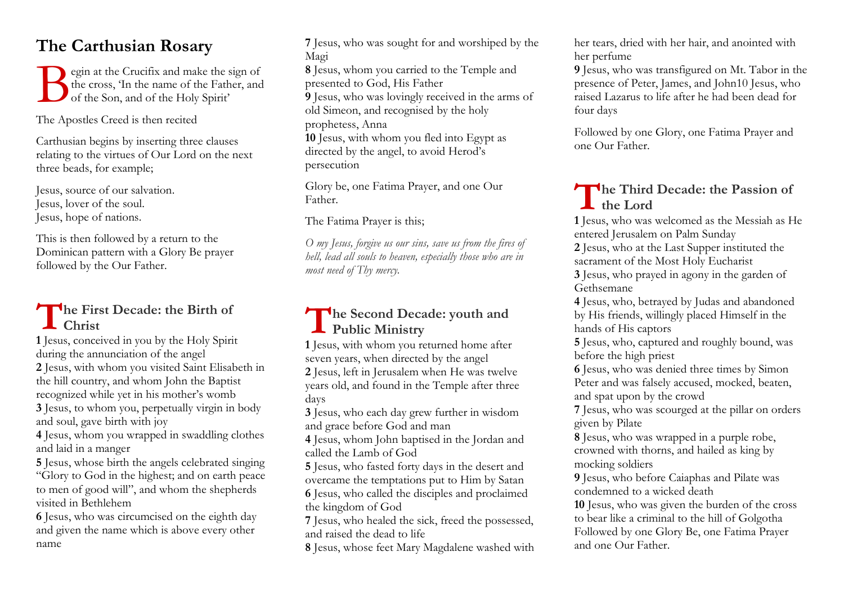## **The Carthusian Rosary**

egin at the Crucifix and make the sign of the cross, 'In the name of the Father, and of the Son, and of the Holy Spirit' B

The Apostles Creed is then recited

Carthusian begins by inserting three clauses relating to the virtues of Our Lord on the next three beads, for example;

Jesus, source of our salvation. Jesus, lover of the soul. Jesus, hope of nations.

This is then followed by a return to the Dominican pattern with a Glory Be prayer followed by the Our Father.

# The First Decade: the Birth of<br> **T Christ**<br> **T** Issus, conceived in you by the Holy Spirit **Christ**

**1** Jesus, conceived in you by the Holy Spirit during the annunciation of the angel

**2** Jesus, with whom you visited Saint Elisabeth in the hill country, and whom John the Baptist recognized while yet in his mother's womb

**3** Jesus, to whom you, perpetually virgin in body and soul, gave birth with joy

**4** Jesus, whom you wrapped in swaddling clothes and laid in a manger

**5** Jesus, whose birth the angels celebrated singing "Glory to God in the highest; and on earth peace to men of good will", and whom the shepherds visited in Bethlehem

**6** Jesus, who was circumcised on the eighth day and given the name which is above every other name

**7** Jesus, who was sought for and worshiped by the Magi

**8** Jesus, whom you carried to the Temple and presented to God, His Father

**9** Jesus, who was lovingly received in the arms of old Simeon, and recognised by the holy

prophetess, Anna

**10** Jesus, with whom you fled into Egypt as directed by the angel, to avoid Herod's persecution

Glory be, one Fatima Prayer, and one Our Father.

The Fatima Prayer is this;

*O my Jesus, forgive us our sins, save us from the fires of hell, lead all souls to heaven, especially those who are in most need of Thy mercy.*

### **he Second Decade: youth and Public Ministry**

**1** Jesus, with whom you returned home after seven years, when directed by the angel **2** Jesus, left in Jerusalem when He was twelve years old, and found in the Temple after three days

**3** Jesus, who each day grew further in wisdom and grace before God and man

**4** Jesus, whom John baptised in the Jordan and called the Lamb of God

**5** Jesus, who fasted forty days in the desert and overcame the temptations put to Him by Satan **6** Jesus, who called the disciples and proclaimed the kingdom of God

**7** Jesus, who healed the sick, freed the possessed, and raised the dead to life

**8** Jesus, whose feet Mary Magdalene washed with

her tears, dried with her hair, and anointed with her perfume

**9** Jesus, who was transfigured on Mt. Tabor in the presence of Peter, James, and John10 Jesus, who raised Lazarus to life after he had been dead for four days

Followed by one Glory, one Fatima Prayer and one Our Father.

## The Third Decade: the Passion of **the Lord**

**1** Jesus, who was welcomed as the Messiah as He entered Jerusalem on Palm Sunday

**2** Jesus, who at the Last Supper instituted the sacrament of the Most Holy Eucharist

**3** Jesus, who prayed in agony in the garden of Gethsemane

**4** Jesus, who, betrayed by Judas and abandoned by His friends, willingly placed Himself in the hands of His captors

**5** Jesus, who, captured and roughly bound, was before the high priest

**6** Jesus, who was denied three times by Simon Peter and was falsely accused, mocked, beaten, and spat upon by the crowd

**7** Jesus, who was scourged at the pillar on orders given by Pilate

**8** Jesus, who was wrapped in a purple robe, crowned with thorns, and hailed as king by mocking soldiers

**9** Jesus, who before Caiaphas and Pilate was condemned to a wicked death

**10** Jesus, who was given the burden of the cross to bear like a criminal to the hill of Golgotha Followed by one Glory Be, one Fatima Prayer and one Our Father.